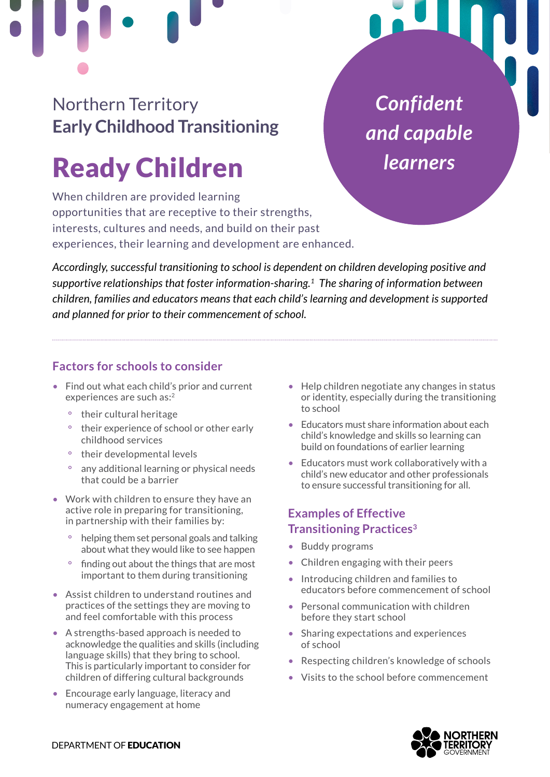# Northern Territory **Early Childhood Transitioning**

# Ready Children

When children are provided learning opportunities that are receptive to their strengths, interests, cultures and needs, and build on their past experiences, their learning and development are enhanced.

*Accordingly, successful transitioning to school is dependent on children developing positive and supportive relationships that foster information-sharing[.1](#page-1-0) The sharing of information between children, families and educators means that each child's learning and development is supported and planned for prior to their commencement of school.* 

# **Factors for schools to consider**

- Find out what each child's prior and current experiences are such as:<sup>[2](#page-1-0)</sup>
	- ° their cultural heritage
	- ° their experience of school or other early childhood services
	- ° their developmental levels
	- ° any additional learning or physical needs that could be a barrier
- Work with children to ensure they have an active role in preparing for transitioning, in partnership with their families by:
	- ° helping them set personal goals and talking about what they would like to see happen
	- ° finding out about the things that are most important to them during transitioning
- Assist children to understand routines and practices of the settings they are moving to and feel comfortable with this process
- A strengths-based approach is needed to acknowledge the qualities and skills (including language skills) that they bring to school. This is particularly important to consider for children of differing cultural backgrounds
- Encourage early language, literacy and numeracy engagement at home

• Help children negotiate any changes in status or identity, especially during the transitioning to school

*"Confident Confident* 

*and capable and capable* 

*learners" learners*

- Educators must share information about each child's knowledge and skills so learning can build on foundations of earlier learning
- Educators must work collaboratively with a child's new educator and other professionals to ensure successful transitioning for all.

# **Examples of Effective Transitioning Practices[3](#page-1-0)**

- Buddy programs
- Children engaging with their peers
- Introducing children and families to educators before commencement of school
- Personal communication with children before they start school
- Sharing expectations and experiences of school
- Respecting children's knowledge of schools
- Visits to the school before commencement